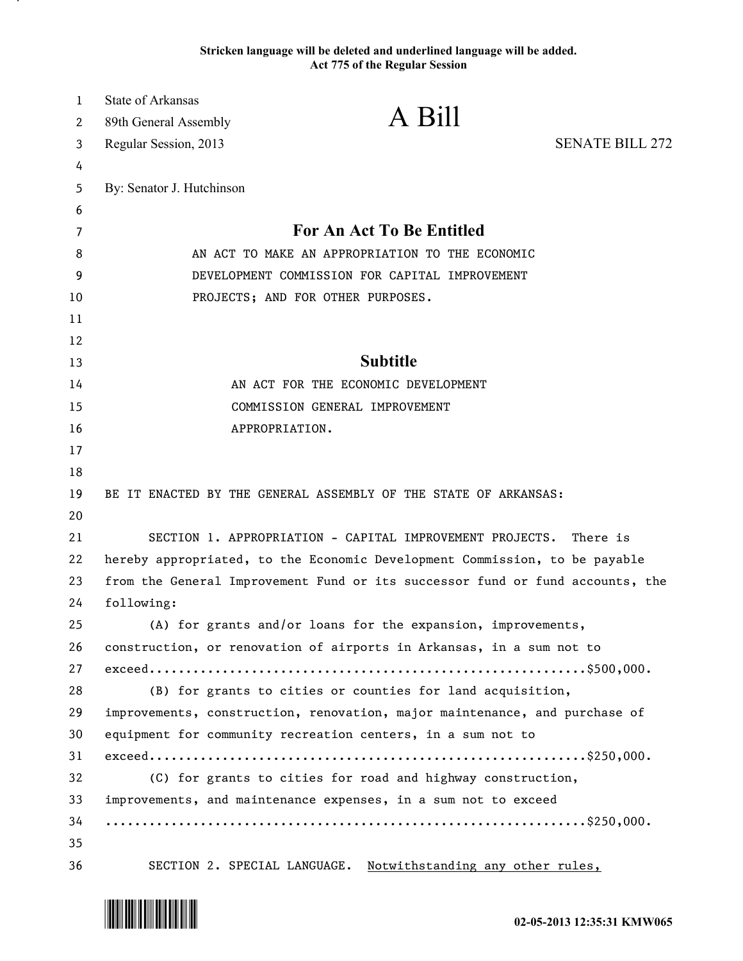**Stricken language will be deleted and underlined language will be added. Act 775 of the Regular Session**

| $\mathbf{1}$ | <b>State of Arkansas</b>                       |                                                                               |                        |
|--------------|------------------------------------------------|-------------------------------------------------------------------------------|------------------------|
| 2            | 89th General Assembly                          | A Bill                                                                        |                        |
| 3            | Regular Session, 2013                          |                                                                               | <b>SENATE BILL 272</b> |
| 4            |                                                |                                                                               |                        |
| 5            | By: Senator J. Hutchinson                      |                                                                               |                        |
| 6            |                                                |                                                                               |                        |
| 7            |                                                | <b>For An Act To Be Entitled</b>                                              |                        |
| 8            |                                                | AN ACT TO MAKE AN APPROPRIATION TO THE ECONOMIC                               |                        |
| 9            | DEVELOPMENT COMMISSION FOR CAPITAL IMPROVEMENT |                                                                               |                        |
| 10           | PROJECTS; AND FOR OTHER PURPOSES.              |                                                                               |                        |
| 11           |                                                |                                                                               |                        |
| 12           |                                                |                                                                               |                        |
| 13           |                                                | <b>Subtitle</b>                                                               |                        |
| 14           |                                                | AN ACT FOR THE ECONOMIC DEVELOPMENT                                           |                        |
| 15           |                                                | COMMISSION GENERAL IMPROVEMENT                                                |                        |
| 16           |                                                | APPROPRIATION.                                                                |                        |
| 17           |                                                |                                                                               |                        |
| 18           |                                                |                                                                               |                        |
| 19           |                                                | BE IT ENACTED BY THE GENERAL ASSEMBLY OF THE STATE OF ARKANSAS:               |                        |
| 20           |                                                |                                                                               |                        |
| 21           |                                                | SECTION 1. APPROPRIATION - CAPITAL IMPROVEMENT PROJECTS.                      | There is               |
| 22           |                                                | hereby appropriated, to the Economic Development Commission, to be payable    |                        |
| 23           |                                                | from the General Improvement Fund or its successor fund or fund accounts, the |                        |
| 24           | following:                                     |                                                                               |                        |
| 25           |                                                | (A) for grants and/or loans for the expansion, improvements,                  |                        |
| 26           |                                                | construction, or renovation of airports in Arkansas, in a sum not to          |                        |
| 27           |                                                | $exceed.\dots\dots\dots\dots\dots\dots\dots\dots$                             |                        |
| 28           |                                                | (B) for grants to cities or counties for land acquisition,                    |                        |
| 29           |                                                | improvements, construction, renovation, major maintenance, and purchase of    |                        |
| 30           |                                                | equipment for community recreation centers, in a sum not to                   |                        |
| 31           |                                                | $exceed.\dots\dots\dots\dots\dots\dots\dots\dots$                             |                        |
| 32           |                                                | (C) for grants to cities for road and highway construction,                   |                        |
| 33           |                                                | improvements, and maintenance expenses, in a sum not to exceed                |                        |
| 34           |                                                |                                                                               |                        |
| 35           |                                                |                                                                               |                        |
| 36           |                                                | SECTION 2. SPECIAL LANGUAGE. Notwithstanding any other rules,                 |                        |



.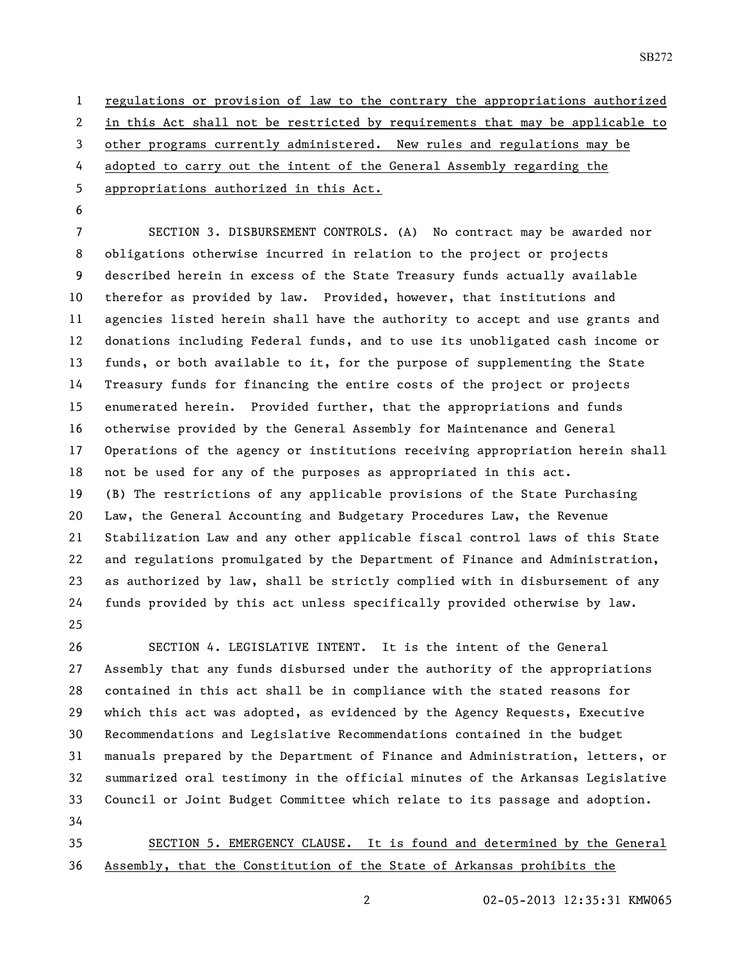regulations or provision of law to the contrary the appropriations authorized in this Act shall not be restricted by requirements that may be applicable to other programs currently administered. New rules and regulations may be adopted to carry out the intent of the General Assembly regarding the appropriations authorized in this Act.

 SECTION 3. DISBURSEMENT CONTROLS. (A) No contract may be awarded nor obligations otherwise incurred in relation to the project or projects described herein in excess of the State Treasury funds actually available therefor as provided by law. Provided, however, that institutions and agencies listed herein shall have the authority to accept and use grants and donations including Federal funds, and to use its unobligated cash income or funds, or both available to it, for the purpose of supplementing the State Treasury funds for financing the entire costs of the project or projects enumerated herein. Provided further, that the appropriations and funds otherwise provided by the General Assembly for Maintenance and General Operations of the agency or institutions receiving appropriation herein shall not be used for any of the purposes as appropriated in this act. (B) The restrictions of any applicable provisions of the State Purchasing Law, the General Accounting and Budgetary Procedures Law, the Revenue Stabilization Law and any other applicable fiscal control laws of this State and regulations promulgated by the Department of Finance and Administration, as authorized by law, shall be strictly complied with in disbursement of any funds provided by this act unless specifically provided otherwise by law. 

 SECTION 4. LEGISLATIVE INTENT. It is the intent of the General Assembly that any funds disbursed under the authority of the appropriations contained in this act shall be in compliance with the stated reasons for which this act was adopted, as evidenced by the Agency Requests, Executive Recommendations and Legislative Recommendations contained in the budget manuals prepared by the Department of Finance and Administration, letters, or summarized oral testimony in the official minutes of the Arkansas Legislative Council or Joint Budget Committee which relate to its passage and adoption. 

 SECTION 5. EMERGENCY CLAUSE. It is found and determined by the General Assembly, that the Constitution of the State of Arkansas prohibits the